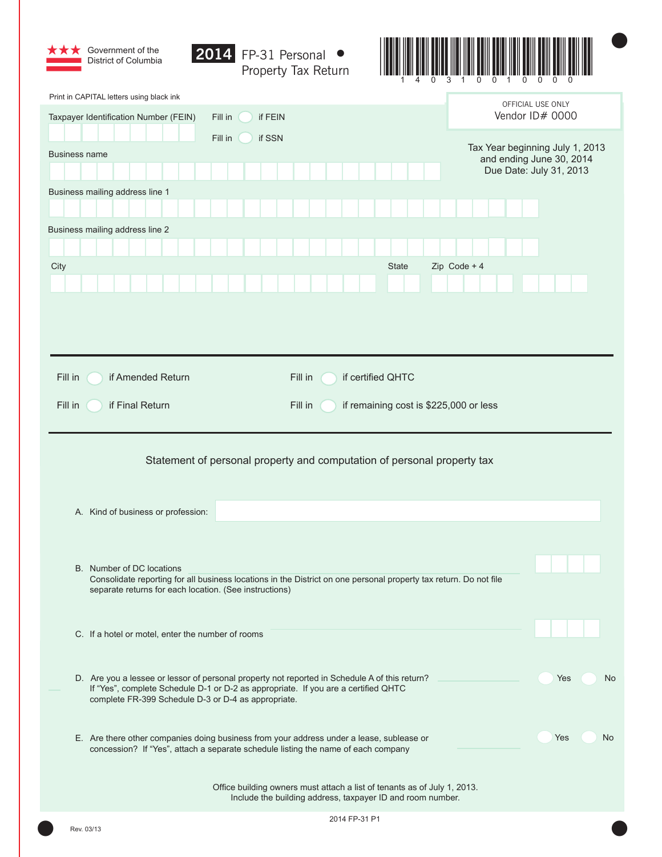| Government of the<br>$\vert 2014 \vert$<br>District of Columbia | FP-31 Personal ●<br>Property Tax Return                                                                                                                                             |                                                     |
|-----------------------------------------------------------------|-------------------------------------------------------------------------------------------------------------------------------------------------------------------------------------|-----------------------------------------------------|
| Print in CAPITAL letters using black ink                        |                                                                                                                                                                                     | OFFICIAL USE ONLY                                   |
| Taxpayer Identification Number (FEIN)<br>Fill in                | if FEIN                                                                                                                                                                             | Vendor ID# 0000                                     |
| Fill in<br><b>Business name</b>                                 | if SSN                                                                                                                                                                              | Tax Year beginning July 1, 2013                     |
|                                                                 |                                                                                                                                                                                     | and ending June 30, 2014<br>Due Date: July 31, 2013 |
| Business mailing address line 1                                 |                                                                                                                                                                                     |                                                     |
| Business mailing address line 2                                 |                                                                                                                                                                                     |                                                     |
|                                                                 |                                                                                                                                                                                     |                                                     |
| City                                                            | State                                                                                                                                                                               | Zip Code + $4$                                      |
|                                                                 |                                                                                                                                                                                     |                                                     |
|                                                                 |                                                                                                                                                                                     |                                                     |
|                                                                 |                                                                                                                                                                                     |                                                     |
|                                                                 |                                                                                                                                                                                     |                                                     |
| Fill in<br>if Amended Return                                    | Fill in<br>if certified QHTC                                                                                                                                                        |                                                     |
| if Final Return<br>Fill in                                      | Fill in<br>if remaining cost is \$225,000 or less                                                                                                                                   |                                                     |
|                                                                 |                                                                                                                                                                                     |                                                     |
|                                                                 | Statement of personal property and computation of personal property tax                                                                                                             |                                                     |
|                                                                 |                                                                                                                                                                                     |                                                     |
| A. Kind of business or profession:                              |                                                                                                                                                                                     |                                                     |
|                                                                 |                                                                                                                                                                                     |                                                     |
| B. Number of DC locations                                       | Consolidate reporting for all business locations in the District on one personal property tax return. Do not file                                                                   |                                                     |
| separate returns for each location. (See instructions)          |                                                                                                                                                                                     |                                                     |
|                                                                 |                                                                                                                                                                                     |                                                     |
| C. If a hotel or motel, enter the number of rooms               |                                                                                                                                                                                     |                                                     |
|                                                                 |                                                                                                                                                                                     |                                                     |
| complete FR-399 Schedule D-3 or D-4 as appropriate.             | D. Are you a lessee or lessor of personal property not reported in Schedule A of this return?<br>If "Yes", complete Schedule D-1 or D-2 as appropriate. If you are a certified QHTC | Yes<br>No                                           |
|                                                                 | E. Are there other companies doing business from your address under a lease, sublease or<br>concession? If "Yes", attach a separate schedule listing the name of each company       | Yes<br>No                                           |
|                                                                 | Office building owners must attach a list of tenants as of July 1, 2013.<br>Include the building address, taxpayer ID and room number.                                              |                                                     |
| Rev. 03/13                                                      | 2014 FP-31 P1                                                                                                                                                                       |                                                     |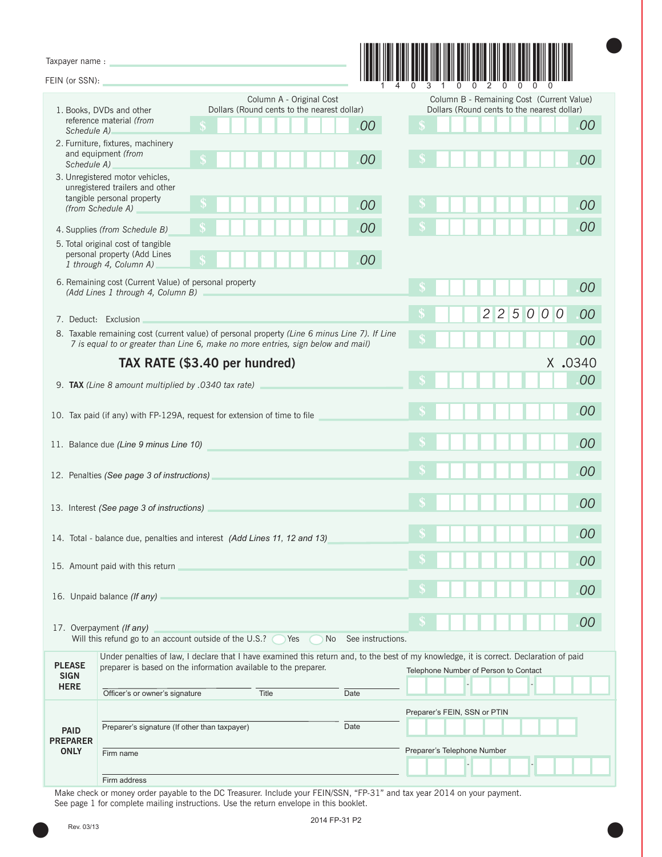| FEIN (or SSN):                 |                                                                                                                                                                                                            |                                                                                                   |
|--------------------------------|------------------------------------------------------------------------------------------------------------------------------------------------------------------------------------------------------------|---------------------------------------------------------------------------------------------------|
|                                | Column A - Original Cost                                                                                                                                                                                   | Column B - Remaining Cost (Current Value)                                                         |
| Schedule A)                    | Dollars (Round cents to the nearest dollar)<br>1. Books, DVDs and other<br>reference material (from<br>00                                                                                                  | Dollars (Round cents to the nearest dollar)<br>00                                                 |
| Schedule A)                    | 2. Furniture, fixtures, machinery<br>and equipment (from<br>00                                                                                                                                             | 00                                                                                                |
|                                | 3. Unregistered motor vehicles,<br>unregistered trailers and other<br>tangible personal property<br>00<br>(from Schedule A)                                                                                | 00                                                                                                |
|                                | 00<br>4. Supplies (from Schedule B)                                                                                                                                                                        | 00                                                                                                |
|                                | 5. Total original cost of tangible<br>personal property (Add Lines<br>00<br>1 through 4, Column A)                                                                                                         |                                                                                                   |
|                                | 6. Remaining cost (Current Value) of personal property<br>(Add Lines 1 through 4, Column B)                                                                                                                | 00                                                                                                |
|                                | 7. Deduct: Exclusion                                                                                                                                                                                       | $\overline{c}$<br>5<br>$\overline{2}$<br>$\overline{O}$<br>$\overline{O}$<br>$\overline{0}$<br>00 |
|                                | 8. Taxable remaining cost (current value) of personal property (Line 6 minus Line 7). If Line<br>7 is equal to or greater than Line 6, make no more entries, sign below and mail)                          | 00                                                                                                |
|                                | TAX RATE (\$3.40 per hundred)                                                                                                                                                                              | X .0340                                                                                           |
|                                | 9. TAX (Line 8 amount multiplied by .0340 tax rate)                                                                                                                                                        | 00                                                                                                |
|                                | 10. Tax paid (if any) with FP-129A, request for extension of time to file                                                                                                                                  | 00                                                                                                |
|                                | 11. Balance due (Line 9 minus Line 10)                                                                                                                                                                     | 00                                                                                                |
|                                | 12. Penalties (See page 3 of instructions)                                                                                                                                                                 | 00                                                                                                |
|                                | 13. Interest (See page 3 of instructions)                                                                                                                                                                  | 00                                                                                                |
|                                | 14. Total - balance due, penalties and interest (Add Lines 11, 12 and 13)                                                                                                                                  | 00                                                                                                |
|                                | 15. Amount paid with this return                                                                                                                                                                           | 00                                                                                                |
|                                | 16. Unpaid balance (If any)                                                                                                                                                                                | 00                                                                                                |
|                                | 17. Overpayment (If any)<br>Will this refund go to an account outside of the U.S.? Thes<br>No See instructions.                                                                                            | 00                                                                                                |
| <b>PLEASE</b><br><b>SIGN</b>   | Under penalties of law, I declare that I have examined this return and, to the best of my knowledge, it is correct. Declaration of paid<br>preparer is based on the information available to the preparer. | Telephone Number of Person to Contact                                                             |
| <b>HERE</b>                    | Officer's or owner's signature<br>Date<br>Title                                                                                                                                                            |                                                                                                   |
| <b>PAID</b>                    | Preparer's signature (If other than taxpayer)<br>Date                                                                                                                                                      | Preparer's FEIN, SSN or PTIN                                                                      |
| <b>PREPARER</b><br><b>ONLY</b> | Firm name                                                                                                                                                                                                  | Preparer's Telephone Number                                                                       |
|                                | Firm address                                                                                                                                                                                               |                                                                                                   |

Make check or money order payable to the DC Treasurer. Include your FEIN/SSN, "FP-31" and tax year 2014 on your payment. See page 1 for complete mailing instructions. Use the return envelope in this booklet.

●